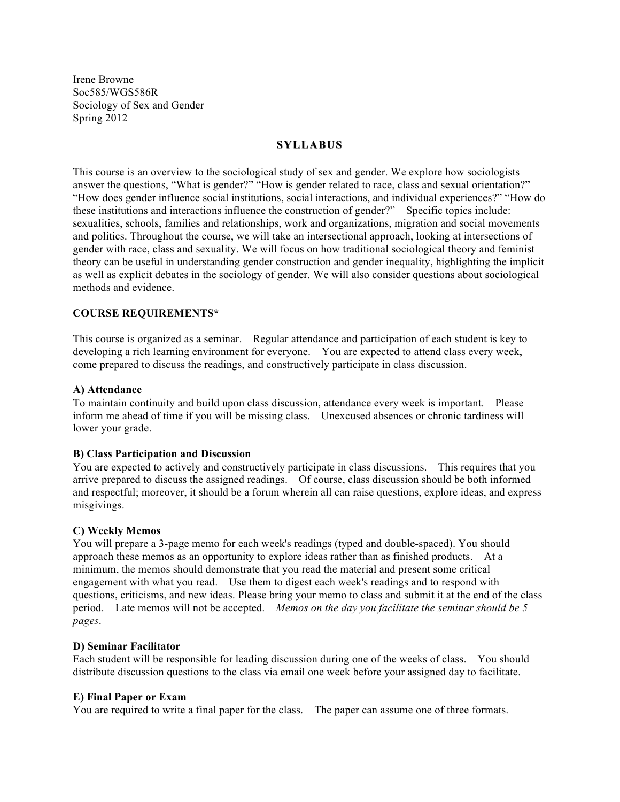Irene Browne Soc585/WGS586R Sociology of Sex and Gender Spring 2012

# **SYLLABUS**

This course is an overview to the sociological study of sex and gender. We explore how sociologists answer the questions, "What is gender?" "How is gender related to race, class and sexual orientation?" "How does gender influence social institutions, social interactions, and individual experiences?" "How do these institutions and interactions influence the construction of gender?" Specific topics include: sexualities, schools, families and relationships, work and organizations, migration and social movements and politics. Throughout the course, we will take an intersectional approach, looking at intersections of gender with race, class and sexuality. We will focus on how traditional sociological theory and feminist theory can be useful in understanding gender construction and gender inequality, highlighting the implicit as well as explicit debates in the sociology of gender. We will also consider questions about sociological methods and evidence.

## **COURSE REQUIREMENTS\***

This course is organized as a seminar. Regular attendance and participation of each student is key to developing a rich learning environment for everyone. You are expected to attend class every week, come prepared to discuss the readings, and constructively participate in class discussion.

### **A) Attendance**

To maintain continuity and build upon class discussion, attendance every week is important. Please inform me ahead of time if you will be missing class. Unexcused absences or chronic tardiness will lower your grade.

## **B) Class Participation and Discussion**

You are expected to actively and constructively participate in class discussions. This requires that you arrive prepared to discuss the assigned readings. Of course, class discussion should be both informed and respectful; moreover, it should be a forum wherein all can raise questions, explore ideas, and express misgivings.

### **C) Weekly Memos**

You will prepare a 3-page memo for each week's readings (typed and double-spaced). You should approach these memos as an opportunity to explore ideas rather than as finished products. At a minimum, the memos should demonstrate that you read the material and present some critical engagement with what you read. Use them to digest each week's readings and to respond with questions, criticisms, and new ideas. Please bring your memo to class and submit it at the end of the class period. Late memos will not be accepted. *Memos on the day you facilitate the seminar should be 5 pages*.

### **D) Seminar Facilitator**

Each student will be responsible for leading discussion during one of the weeks of class. You should distribute discussion questions to the class via email one week before your assigned day to facilitate.

### **E) Final Paper or Exam**

You are required to write a final paper for the class. The paper can assume one of three formats.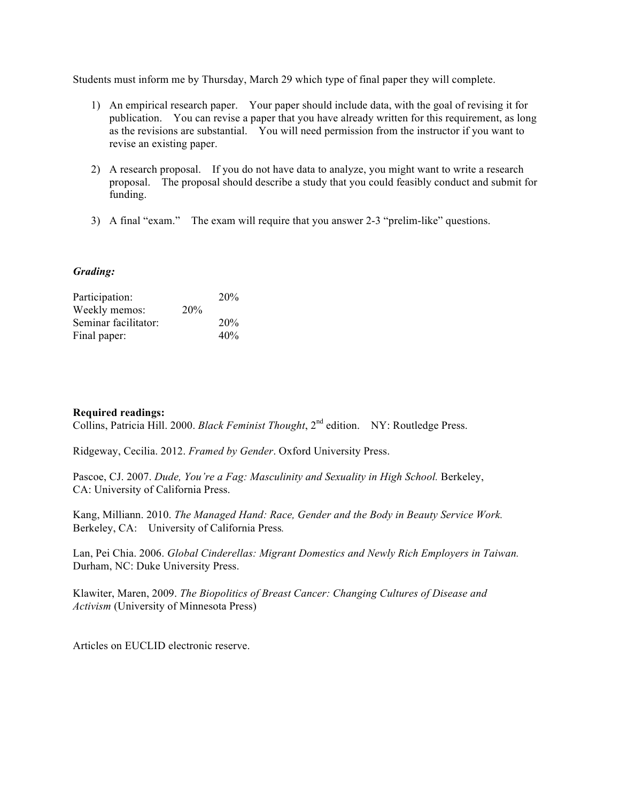Students must inform me by Thursday, March 29 which type of final paper they will complete.

- 1) An empirical research paper. Your paper should include data, with the goal of revising it for publication. You can revise a paper that you have already written for this requirement, as long as the revisions are substantial. You will need permission from the instructor if you want to revise an existing paper.
- 2) A research proposal. If you do not have data to analyze, you might want to write a research proposal. The proposal should describe a study that you could feasibly conduct and submit for funding.
- 3) A final "exam." The exam will require that you answer 2-3 "prelim-like" questions.

# *Grading:*

| Participation:       |     | 20% |
|----------------------|-----|-----|
| Weekly memos:        | 20% |     |
| Seminar facilitator: |     | 20% |
| Final paper:         |     | 40% |

# **Required readings:**

Collins, Patricia Hill. 2000. *Black Feminist Thought*, 2<sup>nd</sup> edition. NY: Routledge Press.

Ridgeway, Cecilia. 2012. *Framed by Gender*. Oxford University Press.

Pascoe, CJ. 2007. *Dude, You're a Fag: Masculinity and Sexuality in High School.* Berkeley, CA: University of California Press.

Kang, Milliann. 2010. *The Managed Hand: Race, Gender and the Body in Beauty Service Work.*  Berkeley, CA: University of California Press*.*

Lan, Pei Chia. 2006. *Global Cinderellas: Migrant Domestics and Newly Rich Employers in Taiwan.*  Durham, NC: Duke University Press.

Klawiter, Maren, 2009. *The Biopolitics of Breast Cancer: Changing Cultures of Disease and Activism* (University of Minnesota Press)

Articles on EUCLID electronic reserve.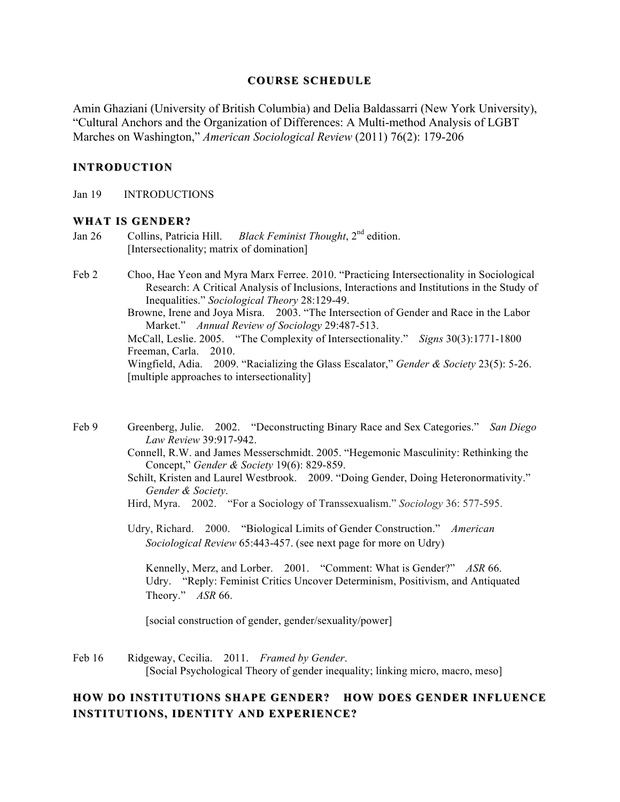# **COURSE SCHEDULE**

Amin Ghaziani (University of British Columbia) and Delia Baldassarri (New York University), "Cultural Anchors and the Organization of Differences: A Multi-method Analysis of LGBT Marches on Washington," *American Sociological Review* (2011) 76(2): 179-206

# **INTRODUCTION**

Jan 19 INTRODUCTIONS

# **WHAT IS GENDER? WHAT IS GENDER?**

- Jan 26 Collins, Patricia Hill. *Black Feminist Thought*, 2nd edition. [Intersectionality; matrix of domination]
- Feb 2 Choo, Hae Yeon and Myra Marx Ferree. 2010. "Practicing Intersectionality in Sociological Research: A Critical Analysis of Inclusions, Interactions and Institutions in the Study of Inequalities." *Sociological Theory* 28:129-49.
	- Browne, Irene and Joya Misra. 2003. "The Intersection of Gender and Race in the Labor Market." *Annual Review of Sociology* 29:487-513.

McCall, Leslie. 2005. "The Complexity of Intersectionality." *Signs* 30(3):1771-1800 Freeman, Carla. 2010.

Wingfield, Adia. 2009. "Racializing the Glass Escalator," *Gender & Society* 23(5): 5-26. [multiple approaches to intersectionality]

Feb 9 Greenberg, Julie. 2002. "Deconstructing Binary Race and Sex Categories." *San Diego Law Review* 39:917-942.

Connell, R.W. and James Messerschmidt. 2005. "Hegemonic Masculinity: Rethinking the Concept," *Gender & Society* 19(6): 829-859.

Schilt, Kristen and Laurel Westbrook. 2009. "Doing Gender, Doing Heteronormativity." *Gender & Society*.

Hird, Myra. 2002. "For a Sociology of Transsexualism." *Sociology* 36: 577-595.

Udry, Richard. 2000. "Biological Limits of Gender Construction." *American Sociological Review* 65:443-457. (see next page for more on Udry)

Kennelly, Merz, and Lorber. 2001. "Comment: What is Gender?" *ASR* 66. Udry. "Reply: Feminist Critics Uncover Determinism, Positivism, and Antiquated Theory." *ASR* 66.

[social construction of gender, gender/sexuality/power]

Feb 16 Ridgeway, Cecilia. 2011. *Framed by Gender*. [Social Psychological Theory of gender inequality; linking micro, macro, meso]

# HOW DO INSTITUTIONS SHAPE GENDER? HOW DOES GENDER INFLUENCE **INSTITUTIONS, INSTITUTIONS, IDENTITY AND EXPERIENCE?**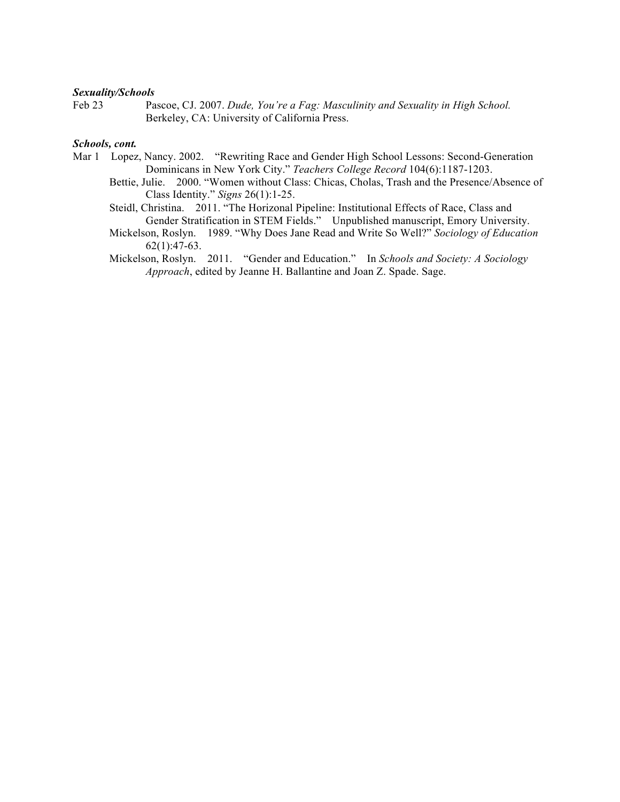## *Sexuality/Schools*

Feb 23 Pascoe, CJ. 2007. *Dude, You're a Fag: Masculinity and Sexuality in High School.*  Berkeley, CA: University of California Press.

### *Schools, cont.*

- Mar 1 Lopez, Nancy. 2002. "Rewriting Race and Gender High School Lessons: Second-Generation Dominicans in New York City." *Teachers College Record* 104(6):1187-1203.
	- Bettie, Julie. 2000. "Women without Class: Chicas, Cholas, Trash and the Presence/Absence of Class Identity." *Signs* 26(1):1-25.
	- Steidl, Christina. 2011. "The Horizonal Pipeline: Institutional Effects of Race, Class and Gender Stratification in STEM Fields." Unpublished manuscript, Emory University.
	- Mickelson, Roslyn. 1989. "Why Does Jane Read and Write So Well?" *Sociology of Education*  $62(1):47-63$ .
	- Mickelson, Roslyn. 2011. "Gender and Education." In *Schools and Society: A Sociology Approach*, edited by Jeanne H. Ballantine and Joan Z. Spade. Sage.